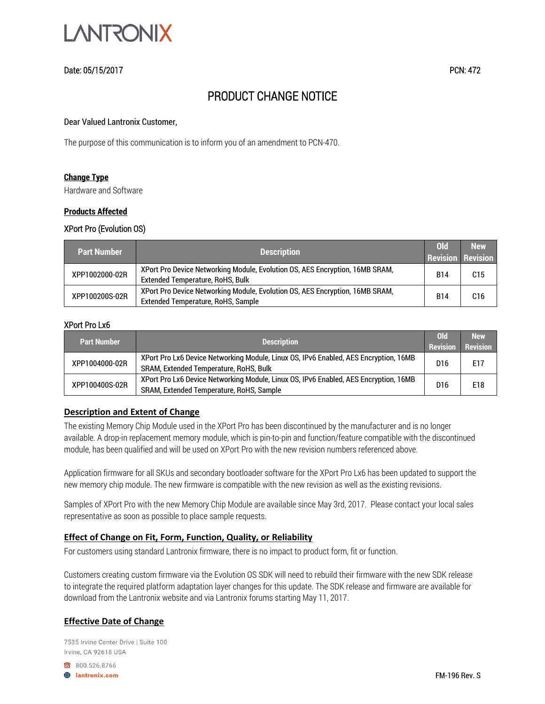

# Date: 05/15/2017 PCN: 472

# PRODUCT CHANGE NOTICE

#### Dear Valued Lantronix Customer,

The purpose of this communication is to inform you of an amendment to PCN-470.

#### **Change Type**

Hardware and Software

#### **Products Affected**

#### XPort Pro (Evolution OS)

| <b>Part Number</b> | <b>Description</b>                                                                                                 | ol <sub>d</sub><br><b>Revision Revision</b> | <b>New</b>      |
|--------------------|--------------------------------------------------------------------------------------------------------------------|---------------------------------------------|-----------------|
| XPP1002000-02R     | XPort Pro Device Networking Module, Evolution OS, AES Encryption, 16MB SRAM,<br>Extended Temperature, RoHS, Bulk   | B14                                         | C15             |
| XPP100200S-02R     | XPort Pro Device Networking Module, Evolution OS, AES Encryption, 16MB SRAM,<br>Extended Temperature, RoHS, Sample | <b>B14</b>                                  | C <sub>16</sub> |

## XPort Pro Lx6

| <b>Part Number</b> | <b>Description</b>                                                                                                               | <b>Old</b><br><b>Revision</b> | <b>New</b><br>Revision |
|--------------------|----------------------------------------------------------------------------------------------------------------------------------|-------------------------------|------------------------|
| XPP1004000-02R     | XPort Pro Lx6 Device Networking Module, Linux OS, IPv6 Enabled, AES Encryption, 16MB<br>SRAM, Extended Temperature, RoHS, Bulk   | D16                           | E17                    |
| XPP100400S-02R     | XPort Pro Lx6 Device Networking Module, Linux OS, IPv6 Enabled, AES Encryption, 16MB<br>SRAM, Extended Temperature, RoHS, Sample | D <sub>16</sub>               | E18                    |

#### **Description and Extent of Change**

The existing Memory Chip Module used in the XPort Pro has been discontinued by the manufacturer and is no longer available. A drop-in replacement memory module, which is pin-to-pin and function/feature compatible with the discontinued module, has been qualified and will be used on XPort Pro with the new revision numbers referenced above.

Application firmware for all SKUs and secondary bootloader software for the XPort Pro Lx6 has been updated to support the new memory chip module. The new firmware is compatible with the new revision as well as the existing revisions.

Samples of XPort Pro with the new Memory Chip Module are available since May 3rd, 2017. Please contact your local sales representative as soon as possible to place sample requests.

### **Effect of Change on Fit, Form, Function, Quality, or Reliability**

For customers using standard Lantronix firmware, there is no impact to product form, fit or function.

Customers creating custom firmware via the Evolution OS SDK will need to rebuild their firmware with the new SDK release to integrate the required platform adaptation layer changes for this update. The SDK release and firmware are available for download from the Lantronix website and via Lantronix forums starting May 11, 2017.

# **Effective Date of Change**

7535 Irvine Center Drive | Suite 100 Irvine, CA 92618 USA

800.526.8766 **B** lantronix.com